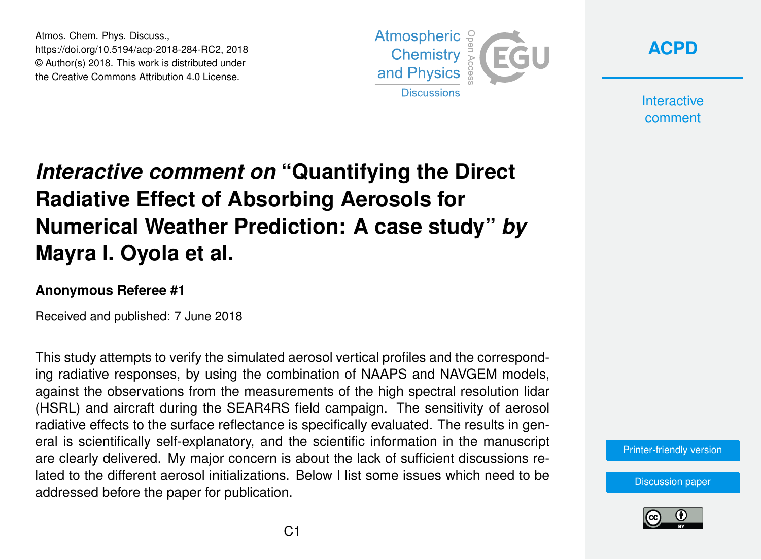Atmos. Chem. Phys. Discuss., https://doi.org/10.5194/acp-2018-284-RC2, 2018 © Author(s) 2018. This work is distributed under the Creative Commons Attribution 4.0 License.





**Interactive** comment

## *Interactive comment on* **"Quantifying the Direct Radiative Effect of Absorbing Aerosols for Numerical Weather Prediction: A case study"** *by* **Mayra I. Oyola et al.**

## **Anonymous Referee #1**

Received and published: 7 June 2018

This study attempts to verify the simulated aerosol vertical profiles and the corresponding radiative responses, by using the combination of NAAPS and NAVGEM models, against the observations from the measurements of the high spectral resolution lidar (HSRL) and aircraft during the SEAR4RS field campaign. The sensitivity of aerosol radiative effects to the surface reflectance is specifically evaluated. The results in general is scientifically self-explanatory, and the scientific information in the manuscript are clearly delivered. My major concern is about the lack of sufficient discussions related to the different aerosol initializations. Below I list some issues which need to be addressed before the paper for publication.

[Printer-friendly version](https://www.atmos-chem-phys-discuss.net/acp-2018-284/acp-2018-284-RC2-print.pdf)

[Discussion paper](https://www.atmos-chem-phys-discuss.net/acp-2018-284)

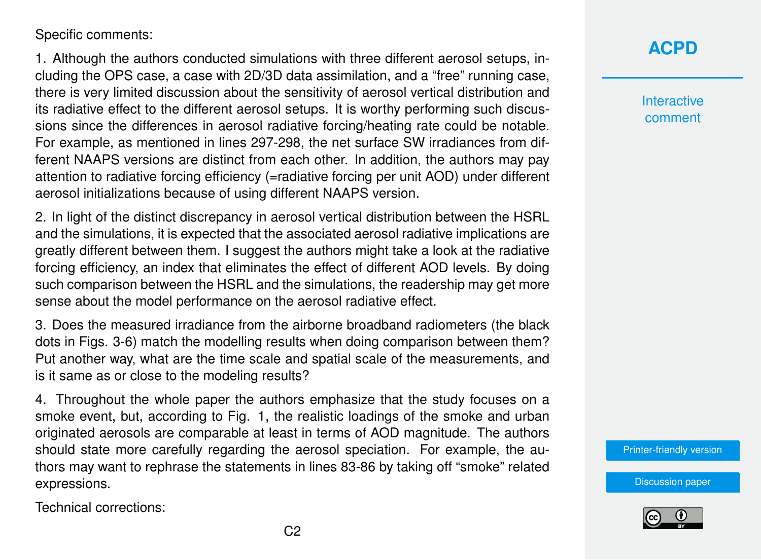Specific comments:

1. Although the authors conducted simulations with three different aerosol setups, including the OPS case, a case with 2D/3D data assimilation, and a "free" running case, there is very limited discussion about the sensitivity of aerosol vertical distribution and its radiative effect to the different aerosol setups. It is worthy performing such discussions since the differences in aerosol radiative forcing/heating rate could be notable. For example, as mentioned in lines 297-298, the net surface SW irradiances from different NAAPS versions are distinct from each other. In addition, the authors may pay attention to radiative forcing efficiency (=radiative forcing per unit AOD) under different aerosol initializations because of using different NAAPS version.

2. In light of the distinct discrepancy in aerosol vertical distribution between the HSRL and the simulations, it is expected that the associated aerosol radiative implications are greatly different between them. I suggest the authors might take a look at the radiative forcing efficiency, an index that eliminates the effect of different AOD levels. By doing such comparison between the HSRL and the simulations, the readership may get more sense about the model performance on the aerosol radiative effect.

3. Does the measured irradiance from the airborne broadband radiometers (the black dots in Figs. 3-6) match the modelling results when doing comparison between them? Put another way, what are the time scale and spatial scale of the measurements, and is it same as or close to the modeling results?

4. Throughout the whole paper the authors emphasize that the study focuses on a smoke event, but, according to Fig. 1, the realistic loadings of the smoke and urban originated aerosols are comparable at least in terms of AOD magnitude. The authors should state more carefully regarding the aerosol speciation. For example, the authors may want to rephrase the statements in lines 83-86 by taking off "smoke" related expressions.

Technical corrections:

## **[ACPD](https://www.atmos-chem-phys-discuss.net/)**

**Interactive** comment

[Printer-friendly version](https://www.atmos-chem-phys-discuss.net/acp-2018-284/acp-2018-284-RC2-print.pdf)

[Discussion paper](https://www.atmos-chem-phys-discuss.net/acp-2018-284)